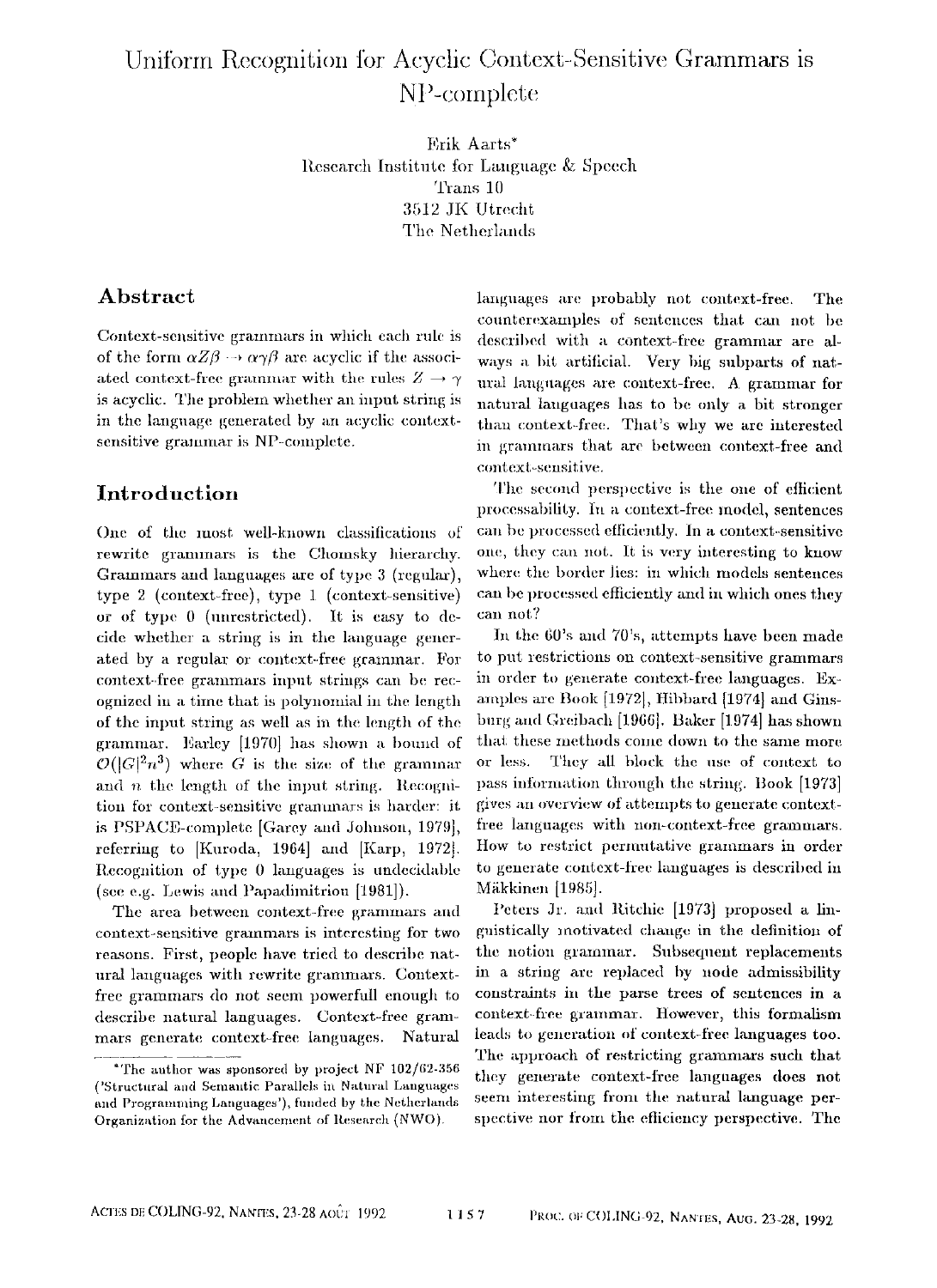# Uniform Recognition for Acyclic Context-Sensitive Grammars is NP-complete

Frik Aarts\* Research Institute for Language & Speech Trans 10 3512 JK Utrecht The Netherlands

# **Abstract**

Context-sensitive grammars in which each rule is of the form  $\alpha Z\beta \rightarrow \alpha \gamma \beta$  are acyclic if the associated context-free grammar with the rules  $Z \rightarrow \gamma$ is acyclic. The problem whether an input string is in the language generated by an acyclic contextsensitive grammar is NP-complete.

## Introduction

One of the most well-known classifications of rewrite grammars is the Chomsky hierarchy. Grammars and languages are of type  $3$  (regular), type 2 (context-free), type 1 (context-sensitive) or of type 0 (unrestricted). It is easy to decide whether a string is in the language generated by a regular or context-free grammar. For context-free grammars input strings can be recognized in a time that is polynomial in the length of the input string as well as in the length of the grammar. Earley [1970] has shown a bound of  $\mathcal{O}(|G|^2n^3)$  where G is the size of the grammar and  $n$  the length of the input string. Recognition for context-sensitive grammars is harder: it is PSPACE-complete [Garey and Johnson, 1979], referring to [Kuroda, 1964] and [Karp, 1972]. Recognition of type 0 languages is undecidable (see e.g. Lewis and Papadimitriou [1981]).

The area between context-free grammars and context-sensitive grammars is interesting for two reasons. First, people have tried to describe natural languages with rewrite grammars. Contextfree grammars do not seem powerfull enough to descrihe natural languages. Context-free grammars generate context-free languages. Natural

languages are probably not context-free. The counterexamples of sentences that can not be described with a context-free grammar are always a bit artifieiah Very big subparts of natural languages are context-free. A grammar for natural languages has to be only a bit stronger than context-free. That's why we are interested in grammars that are between context-free and context-sensitive.

The second perspective is the one of efficient proeessability, lu a context-free model, sentences can be processed efficiently. In a context-sensitive one, they can not. It is very interesting to know where the border lies: in which models sentences can be processed efficiently and in which ones they can not?

In the 60's and 70's, attempts have been made to put restrictions on context-sensitive grammars in order to generate context-free languages. Examples are Book [1972], Hibbard [1974] and Ginsburg and Greibach [1966]. Baker [1974] has shown that these methods come down to the same more or less. They all block the use of context to pass information through the string. Book [1973] gives an overview of attempts to generate contextfree languages with non-context-free grammars. How to restrict permutative grammars in order to generate context-free languages is described in MiLkkinen [1985].

Peters Jr. and Ritchie [1973] proposed a linguistically motivated change in the definition of the notion grammar. Subsequent replacements in a string are replaced by node admissibility constraints in the parse trees of sentences in **a**  context-free grammar. However, this formalism leads to generation of context-free languages too. The approach of restricting grammars such that they generate context-tree languages does not seem interesting from the natural language perspective nor from the efficiency perspective. The

<sup>\*</sup>The author was sponsored by project NF **102/62-356**  ('Structural and Semantic Parallels in Natural Languages and Programming Languages'), funded by the Netherlands Organization for the Advancement of Research (NWO).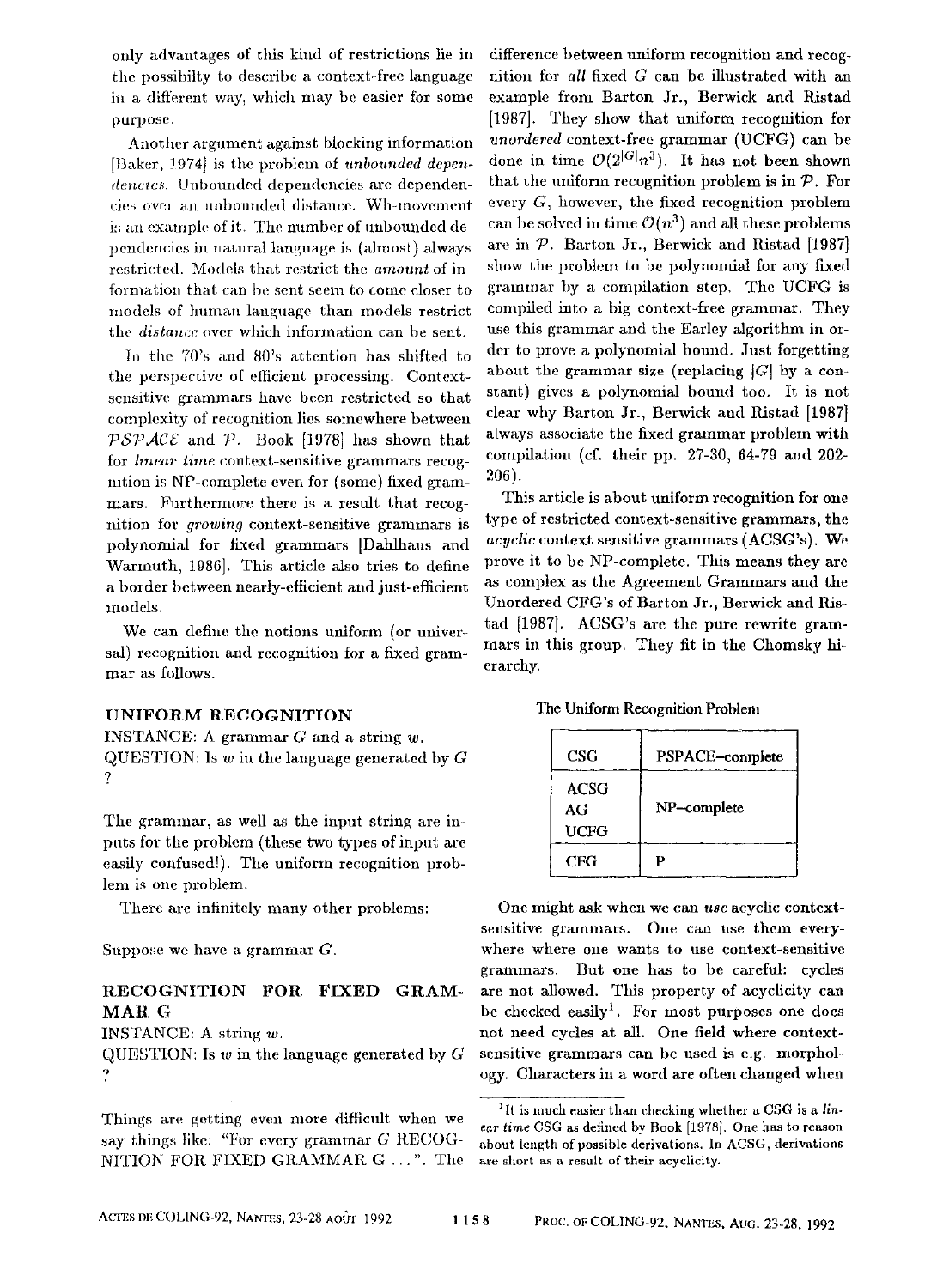only advantages of this kind of restrictions lie in the possibilty to describe a context-free language in a different way, which may be easier for some purpose.

Another argument against blocking information [Baker, 1974] is the problem of *unbounded dependencies.* Unbounded dependencies are dependencies over an unbounded distance. Wh-movement is an example of it. The number of unbounded dependencies in natural language is (almost) always restricted. Models that restrict the *amount* of information that can be sent seem to come closer to models of human language than models restrict the *distance* over which information can be sent.

In the 70's and 80's attention has shifted to the perspective of efficient processing. Contextsensitive grammars have been restricted so that complexity of recognition lies somewhere between  $\mathcal{PSPACE}$  and  $\mathcal{P}$ . Book [1978] has shown that for *linear time* context-sensitive grammars recognition is NP-complete even for (some) fixed grammars. Furthermore there is a result that recognition for *growing* context-sensitive grammars is polynomial for fixed grammars [Dahlhaus and Warmuth, t986]. This article also tries to define a border between nearly-eflicient and just-efficient models.

We can define the notions uniform (or universal) recognition and recognition for a fixed grammar as follows.

#### UNIFORM RECOGNITION

INSTANCE: A grammar  $G$  and a string  $w$ . QUESTION: Is  $w$  in the language generated by  $G$ ?

The grammar, as well as the input string are inputs for the problem (these two types of input are easily confused!). The uniform recognition problem is one problem.

There are infinitely many other problems:

Suppose we have a grammar G.

#### RECOGNITION FOR, FIXED **GRAM-MAR** G

INSTANCE: A string w.

QUESTION: Is  $w$  in the language generated by  $G$ v

Things are getting even more difficult when we say things fikc: "For every grammar G RECOG-NITION FOR FIXED GRAMMAR G ...". The

difference between uniform recognition and recognition for *all* fixed G can be illustrated with an example from Barton Jr., Berwick and Ristad [1987]. They show that uniform recognition for *unordered* context-free grammar (UCFG) can be done in time  $\mathcal{O}(2^{|G|}n^3)$ . It has not been shown that the uniform recognition problem is in  $\mathcal{P}$ . For every  $G$ , however, the fixed recognition problem can be solved in time  $\mathcal{O}(n^3)$  and all these problems are in  $P$ . Barton Jr., Berwick and Ristad [1987] show the problem to be polynomial for any fixed grammar by a compilation step. The UCFG is compiled into a big context-free grammar. They use this grammar and the Earley algorithm in order to prove a polynomial bound. Just forgetting about the grammar size (replacing  $|G|$  by a constant) gives a polynomial bound too. It is not clear why Barton Jr., Berwick and Ristad [1987] always associate the fixed grarnmar problem with compilation (cf. their pp. 27-30, 64-79 and 202- 206).

This article is about uniform recognition for one type of restricted context-sensitive grammars, the *acyclie* context sensitive grammars (ACSG's). We prove it to be NP-complete. This means they are as complex as the Agreement Grammars and the Unordered CFG's of Barton Jr., Berwick and Ristad [1987]. ACSG's are the pure rewrite grammars in this group. They fit in the Chomsky hierarchy.

|  |  | The Uniform Recognition Problem |  |
|--|--|---------------------------------|--|
|--|--|---------------------------------|--|

| $_{\rm CSG}$       | PSPACE-complete |
|--------------------|-----------------|
| ACSG<br>AG<br>UCFG | NP-complete     |
| CFG                | D               |

One might ask when we can *use* acyclic contextsensitive grammars. One can use them everywhere where one wants to use context-sensitive granlmars. But one has to be careful: cycles are not allowed. This property of acyclicity can be checked easily<sup>1</sup>. For most purposes one does not need cycles at all. One field where contextsensitive grammars can be used is e.g. morphology. Characters in a word are often changed when

<sup>&</sup>lt;sup>1</sup>It is much easier than checking whether a CSG is a *linear time* CSG as defined by Book [1978]. One has to reason about length of possible derivations. In ACSG, derivations are short as a result of their acyclicity.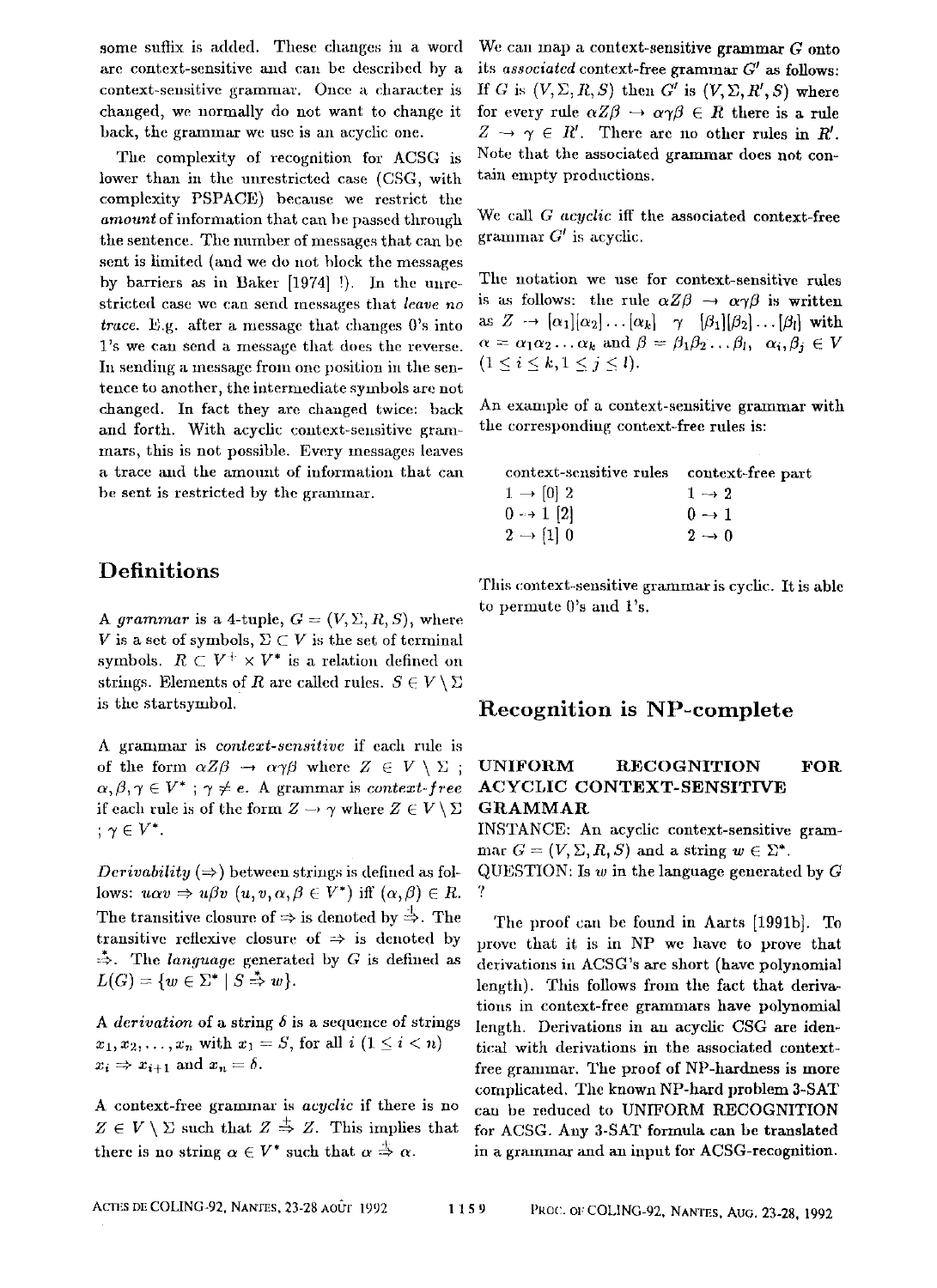some suffix is added. These changes in a word are context-sensitive aald can be described by a context-sensitivc grammar. Once a character is changed, we normally do not want to change it back, the grammax we use is an acychc one.

The complexity of recognition for ACSG is lower than in the unrestricted case (CSG, with complexity PSPACE) because we restrict the *amount* of information that can be passed through the sentence. The number of messages that can be sent is limited (and we do not block the messages by barriers as in Baker [1974] !). In the unrestricted case we can send messages that *leave no trace.* E.g. after a message that changes 0's into 1's we can send a message that does the reverse. In sending a message from one position in the sentence to another, the intermediate symbols are not changed. In fact they are changed twice: back and forth. With acycllc context-sensitive grammars, this is not possible. Every messages leaves a trace and the amount of information that can be sent is restricted by the grammar.

# **Definitions**

*A grammar* is a 4-tuple,  $G = (V, \Sigma, R, S)$ , where V is a set of symbols,  $\Sigma \subset V$  is the set of terminal symbols.  $R \subset V^+ \times V^*$  is a relation defined on strings. Elements of R are called rules.  $S \in V \setminus \Sigma$ is the startsymbol.

A grammar is *context-sensitive* if each rule is of the form  $\alpha Z\beta \rightarrow \alpha \gamma \beta$  where  $Z \in V \setminus \Sigma$ ;  $\alpha, \beta, \gamma \in V^*$ ;  $\gamma \neq e$ . A grammar is *context-free* if each rule is of the form  $Z \to \gamma$  where  $Z \in V \setminus \Sigma$  $: \gamma \in V^*$ .

*Derivability*  $(\Rightarrow)$  between strings is defined as follows:  $u\alpha v \Rightarrow u\beta v$   $(u, v, \alpha, \beta \in V^*)$  iff  $(\alpha, \beta) \in R$ . The transitive closure of  $\Rightarrow$  is denoted by  $\overset{\perp}{\Rightarrow}$ . The transitive reflexive closure of  $\Rightarrow$  is denoted by  $\stackrel{*}{\Rightarrow}$ . The *language* generated by G is defined as  $L(G) = \{w \in \Sigma^* \mid S \stackrel{*}{\Rightarrow} w\}.$ 

A *derivation* of a string  $\delta$  is a sequence of strings  $x_1, x_2, \ldots, x_n$  with  $x_1 = S$ , for all  $i \ (1 \leq i \leq n)$  $x_i \Rightarrow x_{i+1}$  and  $x_n = \delta$ .

A context-free grammar is *acyclic* if there is no  $Z \in V \setminus \Sigma$  such that  $Z \stackrel{\pm}{\Rightarrow} Z$ . This implies that there is no string  $\alpha \in V^*$  such that  $\alpha \stackrel{+}{\Rightarrow} \alpha$ .

We can map a context-sensitive grammar G onto its *associated* context-free grammar  $G'$  as follows: If G is  $(V, \Sigma, R, S)$  then  $G'$  is  $(V, \Sigma, R', S)$  where for every rule  $\alpha Z\beta \rightarrow \alpha \gamma \beta \in R$  there is a rule  $Z \rightarrow \gamma \in R'$ . There are no other rules in R'. Note that the associated grammar does not contain empty productions.

We call G acyclic iff the associated context-free grammar  $G'$  is acyclic.

The notation we use for context-sensitive rules is as follows: the rule  $\alpha Z\beta \rightarrow \alpha \gamma \beta$  is written as  $Z \rightarrow [\alpha_1][\alpha_2] \dots [\alpha_k]$   $\gamma$   $[\beta_1][\beta_2] \dots [\beta_l]$  with  $\alpha = \alpha_1 \alpha_2 \ldots \alpha_k$  and  $\beta = \beta_1 \beta_2 \ldots \beta_l$ ,  $\alpha_i, \beta_i \in V$  $(1 \le i \le k, 1 \le j \le l).$ 

An example of a context-sensitive grammar with the corresponding context-free rules is:

| context-sensitive rules | context-free part |
|-------------------------|-------------------|
| $1 \rightarrow 0$ 2     | $1 \rightarrow 2$ |
| $0 \rightarrow 1$ [2]   | $0 \rightarrow 1$ |
| $2 \rightarrow \{1\}$ 0 | $2 \rightarrow 0$ |

This context-sensitive grammar is cyclic. It is able to permute  $0$ 's and  $1$ 's.

## Recognition is NP-complete

#### UNIFORM RECOGNITION FOR ACYCLIC CONTEXT-SENSITIVE GRAMMAR

INSTANCE: An acyehc context-sensitive grammar  $G = (V, \Sigma, R, S)$  and a string  $w \in \Sigma^*$ . QUESTION: Is  $w$  in the language generated by  $G$ ?

The proof can be found in Aarts [1991b]. To prove that it is in NP wc have to prove that derivations in ACSG's are short (have polynomial length). This follows from the fact that derivations in context-free grammars have polynomial length. Derivations in an acyclie CSG are identical with derivations in the associated contextfree grammar. The proof of NP-hardness is more complicated. The known NP-hard problem 3-SAT can be reduced to UNIFORM RECOGNITION for ACSG. Any 3-SAT formula can be translated in a grammar and an input for ACSG-recognition.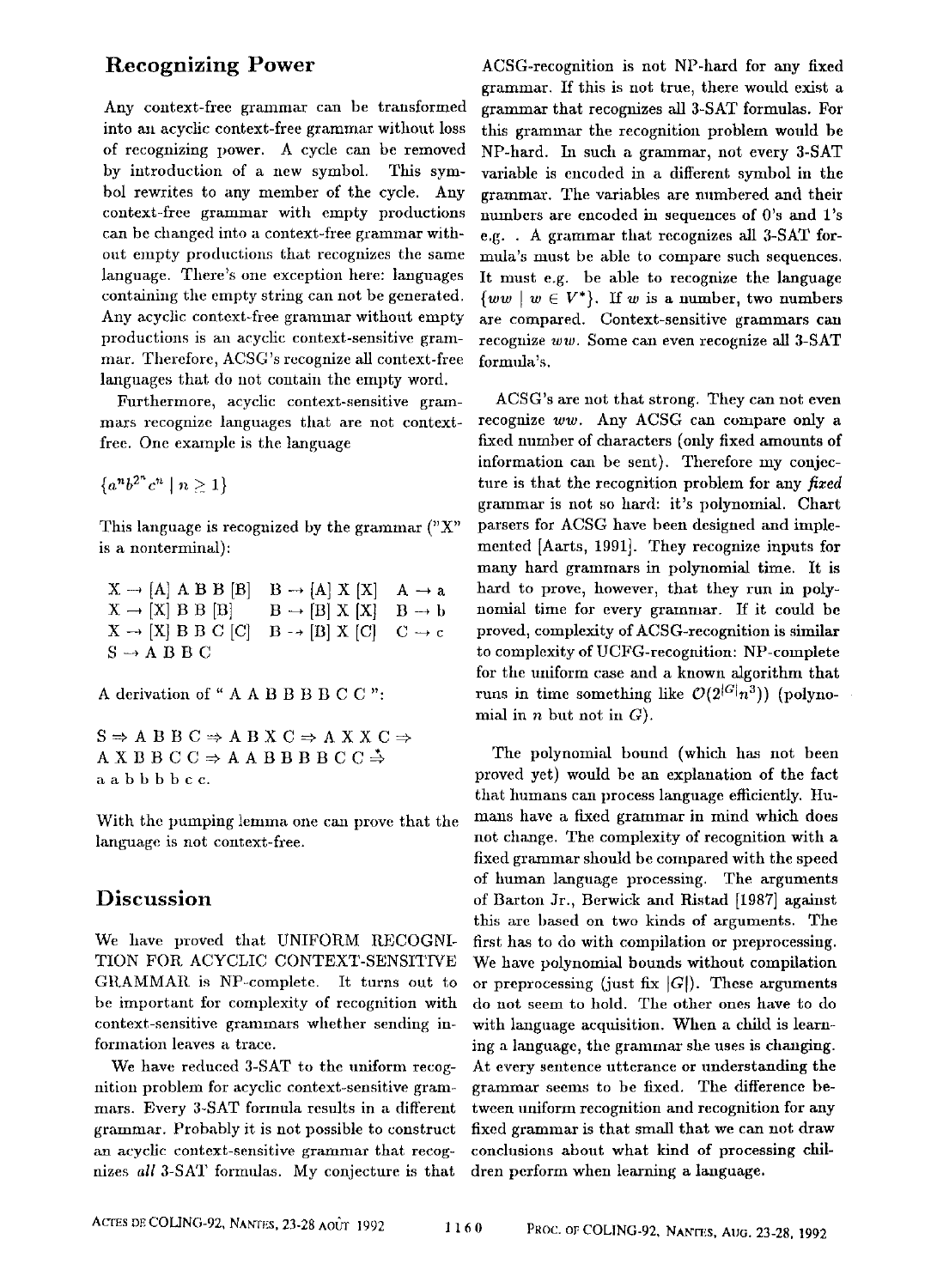# **Recognizing Power**

Any context-free grammar can be transformed into ant acyclic context-free grammar without loss of recognizing power. A cycle can be removed by introduction of a new symbol. This symbol rewrites to any member of the cycle. Any context-free grammar with empty productions can bc changed into a context-free grammar without empty productions that recognizes the same language. There's one exception here: languages containing the empty string can not be generated. Any acyclic context-free grammar withont empty productions is an acyclic context-sensitive grammar. Therefore, ACSG's recognize all context-free languages that do not contain the empty word.

Furthermore, acyclic context-sensitive grammars recognize languages that are not contextfree. One example is the language

 ${a^n b^{2^n} c^n \mid n \geq 1}$ 

This language is recognized by the grammar ("X" is a nonterminal):

 $X \rightarrow [A]$  A B B [B] B  $\rightarrow$  [A] X [X] A  $\rightarrow$  a  $X \rightarrow [X]$  B B [B]  $B \rightarrow [B]$  X [X]  $B \rightarrow b$  $X \rightarrow [X]$  B B C [C]  $B \rightarrow [B]$  X [C]  $C \rightarrow c$  $S \rightarrow A$  B B C

A derivation of "AABBBCC":

 $S \Rightarrow A \ B \ B \ C \Rightarrow A \ B \ X \ C \Rightarrow A \ X \ X \ C \Rightarrow$  $A X B B C C \Rightarrow A A B B B B C C \overset{*}{\Rightarrow}$ aabbbbcc.

With the pumping lemma one can prove that the language is not context-free.

## **Discussion**

We have proved that UNIFORM RECOGNI-TION FOR. ACYCLIC CONTEXT-SENSITIVE GRAMMAR is NP-complete. It turns out to be important for complexity of recognition with context-sensitive grammars whether sending information leaves a trace.

We have reduced 3-SAT to the uniform recognition problem for acyclic context-sensitive grammars. Every 3-SAT formula results in a different grammar. Probably it is not possible to construct an acyclic context-sensitive grammar that recognizes *all* 3-SAT formulas. My conjecture is that

ACSG-recognition is not NP-hard for any fixed grammar. If this is not true, there would exist a grammar that recognizes all 3-SAT formulas. For this grammar the recognition problem would be NP-hard. In such a grammar, not every 3-SAT variable is encoded in a different symbol in the grammar. The variables are numbered and their numbers are encoded in sequences of 0's and 1's e.g.. A grammar that recognizes all 3-SAT formuta's must be able to compare such sequences. It must e.g. be able to recognize the language  $\{ww \mid w \in V^*\}.$  If w is a number, two numbers are compared. Context-sensitive grammars can recognize *ww.* Some can even recognize all 3-SAT formula's.

ACSG's are not that strong. They can not even recognize *ww.* Any *ACSG* can compare only a fixed number of characters (only fixed amounts of information can be sent). Therefore my conjecture is that the recognition problem for any *fixed*  grammar is not so hard: it's polynomial. Chart parsers for ACSG have been designed and implemented [Aarts, 1991]. They recognize inputs for many hard grammars in polynomial time. It is hard to prove, however, that they run in polynomial time for every grammar. If it could be proved, complexity of ACSG-recognition is similar to complexity of UCFG-recognition: NP-complete for the uniform case and a known algorithm that runs in time something like  $\mathcal{O}(2^{|G|}n^3)$  (polynomial in  $n$  but not in  $G$ ).

The polynomial bound (which has not been proved yet) would be an explanation of the fact that humans can process language efficiently. Humans have a fixed grammar in mind which does not change. The complexity of recognition with a fixed grammar should be compared with the speed of human language processing. The arguments of Barton Jr., Berwick and Ristad [1987] against this are based on two kinds of arguments. The first has to do with compilation or preprocessing. We have polynomial bounds without compilation or preprocessing (just fix  $|G|$ ). These arguments do not seem to hold. The other ones have to do with language acquisition. When a child is learning a language, the grammar she uses is changing. At every sentence utterance or understanding the graramar seems to be fixed. The difference between uniform recognition and recognition for any fixed grammar is that small that we can not draw conclusions about what kind of processing children perform when learning a language.